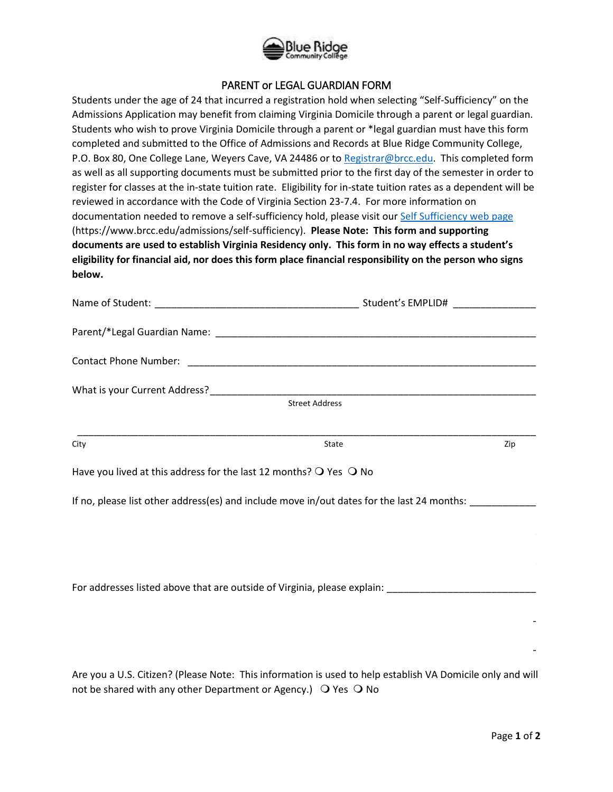

## PARENT or LEGAL GUARDIAN FORM

Students under the age of 24 that incurred a registration hold when selecting "Self-Sufficiency" on the Admissions Application may benefit from claiming Virginia Domicile through a parent or legal guardian. Students who wish to prove Virginia Domicile through a parent or \*legal guardian must have this form completed and submitted to the Office of Admissions and Records at Blue Ridge Community College, P.O. Box 80, One College Lane, Weyers Cave, VA 24486 or to [Registrar@brcc.edu.](mailto:Registrar@brcc.edu) This completed form as well as all supporting documents must be submitted prior to the first day of the semester in order to register for classes at the in-state tuition rate. Eligibility for in-state tuition rates as a dependent will be reviewed in accordance with the Code of Virginia Section 23-7.4. For more information on documentation needed to remove a self-sufficiency hold, please visit our [Self Sufficiency web page](https://www.brcc.edu/admissions/self-sufficiency) (https://www.brcc.edu/admissions/self-sufficiency). **Please Note: This form and supporting documents are used to establish Virginia Residency only. This form in no way effects a student's eligibility for financial aid, nor does this form place financial responsibility on the person who signs below.**

|                                                                                            | Student's EMPLID#     |     |
|--------------------------------------------------------------------------------------------|-----------------------|-----|
|                                                                                            |                       |     |
|                                                                                            |                       |     |
|                                                                                            |                       |     |
|                                                                                            | <b>Street Address</b> |     |
|                                                                                            |                       |     |
| City                                                                                       | State                 | Zip |
| Have you lived at this address for the last 12 months? $\bigcirc$ Yes $\bigcirc$ No        |                       |     |
| If no, please list other address(es) and include move in/out dates for the last 24 months: |                       |     |
|                                                                                            |                       |     |

For addresses listed above that are outside of Virginia, please explain:

 $\mathcal{L}_\mathcal{L} = \{ \mathcal{L}_\mathcal{L} = \{ \mathcal{L}_\mathcal{L} = \{ \mathcal{L}_\mathcal{L} = \{ \mathcal{L}_\mathcal{L} = \{ \mathcal{L}_\mathcal{L} = \{ \mathcal{L}_\mathcal{L} = \{ \mathcal{L}_\mathcal{L} = \{ \mathcal{L}_\mathcal{L} = \{ \mathcal{L}_\mathcal{L} = \{ \mathcal{L}_\mathcal{L} = \{ \mathcal{L}_\mathcal{L} = \{ \mathcal{L}_\mathcal{L} = \{ \mathcal{L}_\mathcal{L} = \{ \mathcal{L}_\mathcal{$ 

 $\mathcal{L}_\mathcal{L} = \{ \mathcal{L}_\mathcal{L} = \{ \mathcal{L}_\mathcal{L} = \{ \mathcal{L}_\mathcal{L} = \{ \mathcal{L}_\mathcal{L} = \{ \mathcal{L}_\mathcal{L} = \{ \mathcal{L}_\mathcal{L} = \{ \mathcal{L}_\mathcal{L} = \{ \mathcal{L}_\mathcal{L} = \{ \mathcal{L}_\mathcal{L} = \{ \mathcal{L}_\mathcal{L} = \{ \mathcal{L}_\mathcal{L} = \{ \mathcal{L}_\mathcal{L} = \{ \mathcal{L}_\mathcal{L} = \{ \mathcal{L}_\mathcal{$ 

Are you a U.S. Citizen? (Please Note: This information is used to help establish VA Domicile only and will not be shared with any other Department or Agency.)  $\bigcirc$  Yes  $\bigcirc$  No